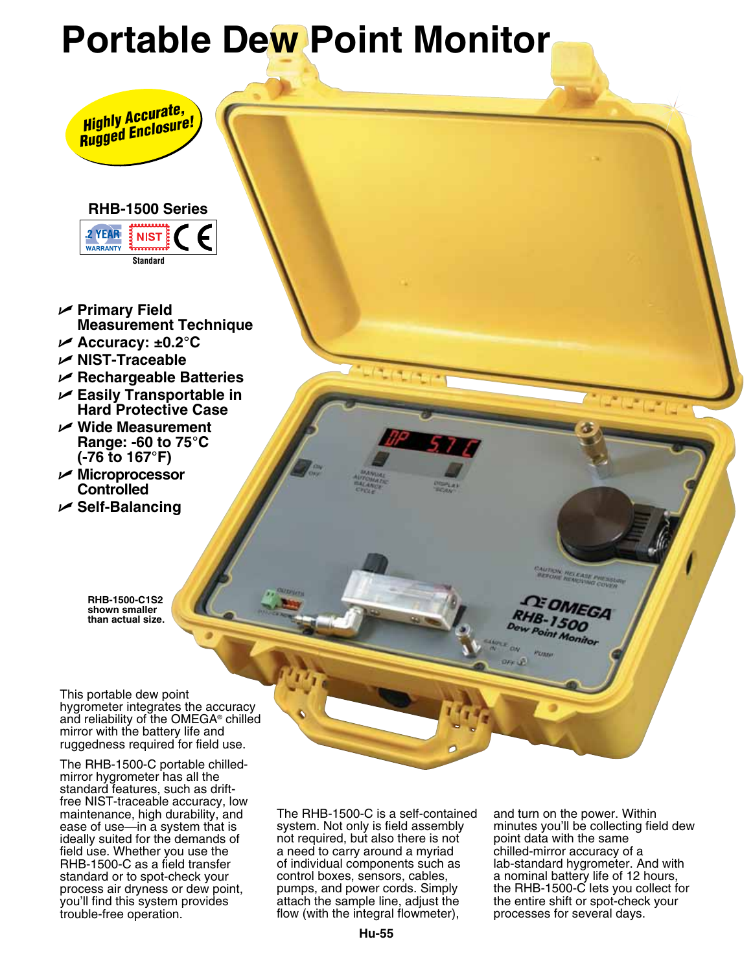# **Portable Dew Point Monitor**



## **RHB-1500 Series**



- U **Primary Field Measurement Technique**
- U **Accuracy: ±0.2°C**
- U **NIST-Traceable**
- U **Rechargeable Batteries**
- U **Easily Transportable in Hard Protective Case**
- U **Wide Measurement Range: -60 to 75°C (-76 to 167°F)**
- U **Microprocessor Controlled**
- U **Self-Balancing**

**RHB-1500-C1S2 shown smaller than actual size.**

This portable dew point hygrometer integrates the accuracy and reliability of the OMEGA<sup>®</sup> chilled mirror with the battery life and ruggedness required for field use.

The RHB-1500-C portable chilledmirror hygrometer has all the standard features, such as driftfree NIST-traceable accuracy, low maintenance, high durability, and ease of use—in a system that is ideally suited for the demands of field use. Whether you use the RHB-1500-C as a field transfer standard or to spot-check your process air dryness or dew point, you'll find this system provides trouble-free operation.

The RHB-1500-C is a self-contained system. Not only is field assembly not required, but also there is not a need to carry around a myriad of individual components such as control boxes, sensors, cables, pumps, and power cords. Simply attach the sample line, adjust the flow (with the integral flowmeter),

and turn on the power. Within minutes you'll be collecting field dew point data with the same chilled-mirror accuracy of a lab-standard hygrometer. And with a nominal battery life of 12 hours, the RHB-1500-C lets you collect for the entire shift or spot-check your processes for several days.

**MUTION THE EASE PHENICI** 

OMEGA 1500 Monito